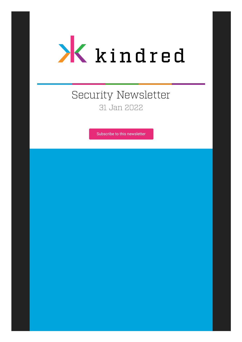

# Security Newsletter 31 Jan 2022

[Subscribe to this newsletter](https://news.infosecgur.us/register)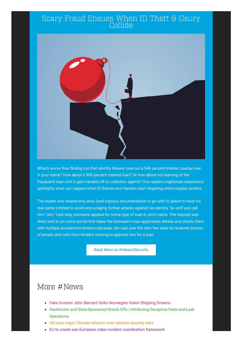#### Scary Fraud Ensues When ID Theft & Usury Collide



What's worse than finding out that identity thieves took out a 546 percent interest payday loan in your name? How about a 900 percent interest loan? Or how about not learning of the fraudulent loan until it gets handed off to collection agents? One reader's nightmare experience spotlights what can happen when ID thieves and hackers start targeting online payday lenders.

The reader who shared this story (and copious documentation to go with it) asked to have his real name omitted to avoid encouraging further attacks against his identity. So we'll just call him "Jim." Last May, someone applied for some type of loan in Jim's name. The request was likely sent to an online portal that takes the borrower's loan application details and shares them with multiple prospective lenders, because Jim said over the next few days he received dozens of emails and calls from lenders wanting to approve him for a loan.

[Read More on KrebsonSecurity](https://krebsonsecurity.com/2022/01/scary-fraud-ensues-when-id-theft-usury-collide/)

### More #News

- [Fake Investor John Bernard Sinks Norwegian Green Shipping Dreams](https://krebsonsecurity.com/2022/01/fake-investor-john-bernard-sinks-norwegian-green-shipping-dreams/)
- [Hacktivism and State-Sponsored Knock-Offs | Attributing Deceptive Hack-and-Leak](https://www.sentinelone.com/labs/hacktivism-and-state-sponsored-knock-offs-attributing-deceptive-hack-and-leak-operations/) **Operations**
- [US bans major Chinese telecom over national security risks](https://www.bleepingcomputer.com/news/security/us-bans-major-chinese-telecom-over-national-security-risks/)
- [EU to create pan-European cyber incident coordination framework](https://www.bleepingcomputer.com/news/security/eu-to-create-pan-european-cyber-incident-coordination-framework/)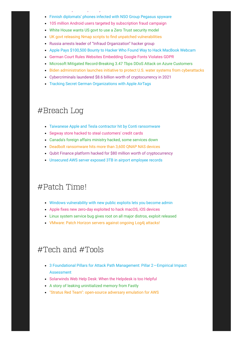- EU to create pan European cyber incident [coordination](https://www.bleepingcomputer.com/news/security/eu-to-create-pan-european-cyber-incident-coordination-framework/) framework [Finnish diplomats' phones infected with NSO Group Pegasus spyware](https://www.bleepingcomputer.com/news/security/finnish-diplomats-phones-infected-with-nso-group-pegasus-spyware/)
- [105 million Android users targeted by subscription fraud campaign](https://www.bleepingcomputer.com/news/security/105-million-android-users-targeted-by-subscription-fraud-campaign/)
- [White House wants US govt to use a Zero Trust security model](https://www.bleepingcomputer.com/news/security/white-house-wants-us-govt-to-use-a-zero-trust-security-model/)
- [UK govt releasing Nmap scripts to find unpatched vulnerabilities](https://www.bleepingcomputer.com/news/security/uk-govt-releasing-nmap-scripts-to-find-unpatched-vulnerabilities/)
- [Russia arrests leader of "Infraud Organization" hacker group](https://www.bleepingcomputer.com/news/security/russia-arrests-leader-of-infraud-organization-hacker-group/)
- [Apple Pays \\$100,500 Bounty to Hacker Who Found Way to Hack MacBook Webcam](https://thehackernews.com/2022/01/apple-pays-100500-bounty-to-hacker-who.html)
- [German Court Rules Websites Embedding Google Fonts Violates GDPR](https://thehackernews.com/2022/01/german-court-rules-websites-embedding.html)
- [Microsoft Mitigated Record-Breaking 3.47 Tbps DDoS Attack on Azure Customers](https://thehackernews.com/2022/01/microsoft-mitigated-record-breaking-347.html)
- **[Biden administration launches initiative to protect U.S. water systems from cyberattacks](https://therecord.media/biden-administration-launches-initiative-to-protect-u-s-water-systems-from-cyberattacks/)**
- [Cybercriminals laundered \\$8.6 billion worth of cryptocurrency in 2021](https://therecord.media/cybercriminals-laundered-8-6-billion-worth-of-cryptocurrency-in-2021/)
- [Tracking Secret German Organizations with Apple AirTags](https://www.schneier.com/blog/archives/2022/01/tracking-secret-german-organizations-with-apple-airtags.html)

### #Breach Log

- [Taiwanese Apple and Tesla contractor hit by Conti ransomware](https://www.bleepingcomputer.com/news/security/taiwanese-apple-and-tesla-contractor-hit-by-conti-ransomware/)
- [Segway store hacked to steal customers' credit cards](https://www.bleepingcomputer.com/news/security/segway-store-hacked-to-steal-customers-credit-cards/)
- [Canada's foreign affairs ministry hacked, some services down](https://www.bleepingcomputer.com/news/security/canadas-foreign-affairs-ministry-hacked-some-services-down/)
- [Deadbolt ransomware hits more than 3,600 QNAP NAS devices](https://therecord.media/deadbolt-ransomware-hits-more-than-3600-qnap-nas-devices/)
- [Qubit Finance platform hacked for \\$80 million worth of cryptocurrency](https://therecord.media/qubit-finance-platform-hacked-for-80-million-worth-of-cryptocurrency/)
- [Unsecured AWS server exposed 3TB in airport employee records](https://www.zdnet.com/article/unsecured-aws-server-exposed-airport-employee-records-3tb-in-data/)

## #Patch Time!

- [Windows vulnerability with new public exploits lets you become admin](https://www.bleepingcomputer.com/news/microsoft/windows-vulnerability-with-new-public-exploits-lets-you-become-admin/)
- [Apple fixes new zero-day exploited to hack macOS, iOS devices](https://www.bleepingcomputer.com/news/apple/apple-fixes-new-zero-day-exploited-to-hack-macos-ios-devices/)
- [Linux system service bug gives root on all major distros, exploit released](https://www.bleepingcomputer.com/news/security/linux-system-service-bug-gives-root-on-all-major-distros-exploit-released/)
- [VMware: Patch Horizon servers against ongoing Log4j attacks!](https://www.bleepingcomputer.com/news/security/vmware-patch-horizon-servers-against-ongoing-log4j-attacks/)

### #Tech and #Tools

- [3 Foundational Pillars for Attack Path Management: Pillar 2—Empirical Impact](https://posts.specterops.io/3-foundational-pillars-for-attack-path-management-pillar-2-empirical-impact-assessment-17d81f9f4a8f) Assessment
- [Solarwinds Web Help Desk: When the Helpdesk is too Helpful](https://blog.assetnote.io/2022/01/23/solarwinds-webhelpdesk-hsql-eval-harcoded-creds/)
- [A story of leaking uninitialized memory from Fastly](https://medium.com/@emil.lerner/leaking-uninitialized-memory-from-fastly-83327bcbee1f)
- ["Stratus Red Team": open-source adversary emulation for AWS](https://github.com/Datadog/stratus-red-team/)